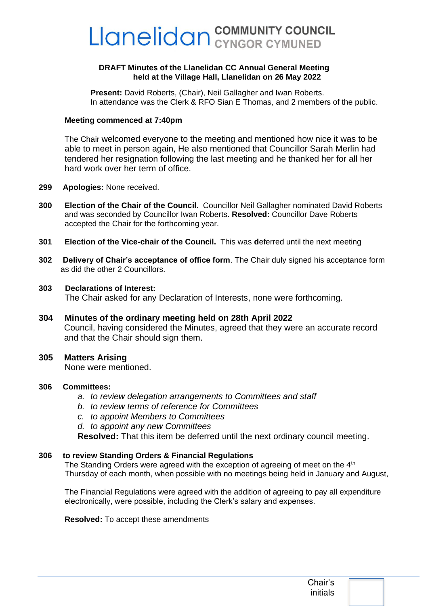# Llanelidan COMMUNITY COUNCIL

#### **DRAFT Minutes of the Llanelidan CC Annual General Meeting held at the Village Hall, Llanelidan on 26 May 2022**

**Present:** David Roberts, (Chair), Neil Gallagher and Iwan Roberts. In attendance was the Clerk & RFO Sian E Thomas, and 2 members of the public.

#### **Meeting commenced at 7:40pm**

The Chair welcomed everyone to the meeting and mentioned how nice it was to be able to meet in person again, He also mentioned that Councillor Sarah Merlin had tendered her resignation following the last meeting and he thanked her for all her hard work over her term of office.

- **299 Apologies:** None received.
- **300 Election of the Chair of the Council.** Councillor Neil Gallagher nominated David Roberts and was seconded by Councillor Iwan Roberts. **Resolved:** Councillor Dave Roberts accepted the Chair for the forthcoming year.
- **301 Election of the Vice-chair of the Council.** This was **d**eferred until the next meeting
- **302 Delivery of Chair's acceptance of office form**. The Chair duly signed his acceptance form as did the other 2 Councillors.
- **303 Declarations of Interest:** The Chair asked for any Declaration of Interests, none were forthcoming.
- **304 Minutes of the ordinary meeting held on 28th April 2022** Council, having considered the Minutes, agreed that they were an accurate record and that the Chair should sign them.
- **305 Matters Arising**

None were mentioned.

- **306 Committees:**
	- *a. to review delegation arrangements to Committees and staff*
	- *b. to review terms of reference for Committees*
	- *c. to appoint Members to Committees*
	- *d. to appoint any new Committees*

**Resolved:** That this item be deferred until the next ordinary council meeting.

#### **306 to review Standing Orders & Financial Regulations**

The Standing Orders were agreed with the exception of agreeing of meet on the  $4<sup>th</sup>$ Thursday of each month, when possible with no meetings being held in January and August,

The Financial Regulations were agreed with the addition of agreeing to pay all expenditure electronically, were possible, including the Clerk's salary and expenses.

**Resolved:** To accept these amendments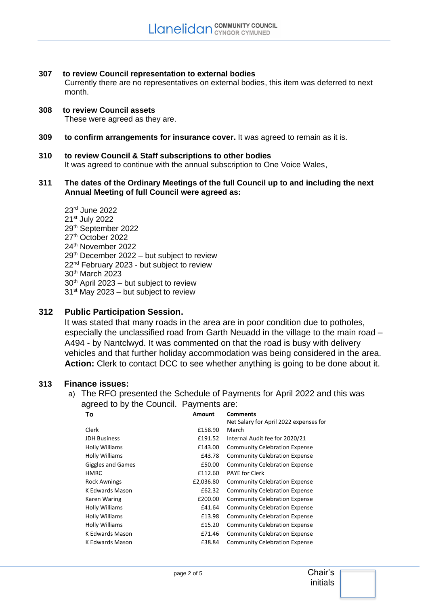**307 to review Council representation to external bodies** 

Currently there are no representatives on external bodies, this item was deferred to next month.

- **308 to review Council assets**  These were agreed as they are.
- **309 to confirm arrangements for insurance cover.** It was agreed to remain as it is.
- **310 to review Council & Staff subscriptions to other bodies**  It was agreed to continue with the annual subscription to One Voice Wales,
- **311 The dates of the Ordinary Meetings of the full Council up to and including the next Annual Meeting of full Council were agreed as:**
	- 23rd June 2022 21st July 2022 29th September 2022 27<sup>th</sup> October 2022 24<sup>th</sup> November 2022  $29<sup>th</sup>$  December 2022 – but subject to review 22<sup>nd</sup> February 2023 - but subject to review 30th March 2023  $30<sup>th</sup>$  April 2023 – but subject to review  $31<sup>st</sup>$  May 2023 – but subject to review
- **312 Public Participation Session.**

It was stated that many roads in the area are in poor condition due to potholes, especially the unclassified road from Garth Neuadd in the village to the main road – A494 - by Nantclwyd. It was commented on that the road is busy with delivery vehicles and that further holiday accommodation was being considered in the area. **Action:** Clerk to contact DCC to see whether anything is going to be done about it.

#### **313 Finance issues:**

a) The RFO presented the Schedule of Payments for April 2022 and this was agreed to by the Council. Payments are:

| To                       | Amount    | <b>Comments</b>                        |
|--------------------------|-----------|----------------------------------------|
|                          |           | Net Salary for April 2022 expenses for |
| Clerk                    | £158.90   | March                                  |
| <b>JDH Business</b>      | £191.52   | Internal Audit fee for 2020/21         |
| <b>Holly Williams</b>    | £143.00   | <b>Community Celebration Expense</b>   |
| Holly Williams           | £43.78    | <b>Community Celebration Expense</b>   |
| <b>Giggles and Games</b> | £50.00    | <b>Community Celebration Expense</b>   |
| <b>HMRC</b>              | £112.60   | <b>PAYE for Clerk</b>                  |
| <b>Rock Awnings</b>      | £2,036.80 | <b>Community Celebration Expense</b>   |
| K Edwards Mason          | £62.32    | <b>Community Celebration Expense</b>   |
| Karen Waring             | £200.00   | <b>Community Celebration Expense</b>   |
| Holly Williams           | £41.64    | <b>Community Celebration Expense</b>   |
| Holly Williams           | £13.98    | <b>Community Celebration Expense</b>   |
| Holly Williams           | £15.20    | <b>Community Celebration Expense</b>   |
| K Edwards Mason          | £71.46    | <b>Community Celebration Expense</b>   |
| K Edwards Mason          | £38.84    | <b>Community Celebration Expense</b>   |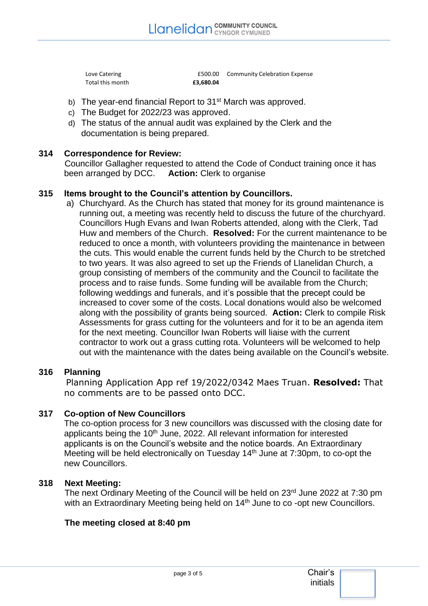Total this month **£3,680.04** 

Love Catering **E500.00** Community Celebration Expense

- b) The year-end financial Report to 31<sup>st</sup> March was approved.
- c) The Budget for 2022/23 was approved.
- d) The status of the annual audit was explained by the Clerk and the documentation is being prepared.

## **314 Correspondence for Review:**

Councillor Gallagher requested to attend the Code of Conduct training once it has been arranged by DCC. **Action:** Clerk to organise

#### **315 Items brought to the Council's attention by Councillors.**

a) Churchyard. As the Church has stated that money for its ground maintenance is running out, a meeting was recently held to discuss the future of the churchyard. Councillors Hugh Evans and Iwan Roberts attended, along with the Clerk, Tad Huw and members of the Church. **Resolved:** For the current maintenance to be reduced to once a month, with volunteers providing the maintenance in between the cuts. This would enable the current funds held by the Church to be stretched to two years. It was also agreed to set up the Friends of Llanelidan Church, a group consisting of members of the community and the Council to facilitate the process and to raise funds. Some funding will be available from the Church; following weddings and funerals, and it's possible that the precept could be increased to cover some of the costs. Local donations would also be welcomed along with the possibility of grants being sourced. **Action:** Clerk to compile Risk Assessments for grass cutting for the volunteers and for it to be an agenda item for the next meeting. Councillor Iwan Roberts will liaise with the current contractor to work out a grass cutting rota. Volunteers will be welcomed to help out with the maintenance with the dates being available on the Council's website.

#### **316 Planning**

Planning Application App ref 19/2022/0342 Maes Truan. **Resolved:** That no comments are to be passed onto DCC.

## **317 Co-option of New Councillors**

The co-option process for 3 new councillors was discussed with the closing date for applicants being the 10<sup>th</sup> June, 2022. All relevant information for interested applicants is on the Council's website and the notice boards. An Extraordinary Meeting will be held electronically on Tuesday 14th June at 7:30pm, to co-opt the new Councillors.

#### **318 Next Meeting:**

The next Ordinary Meeting of the Council will be held on 23rd June 2022 at 7:30 pm with an Extraordinary Meeting being held on 14<sup>th</sup> June to co -opt new Councillors.

#### **The meeting closed at 8:40 pm**